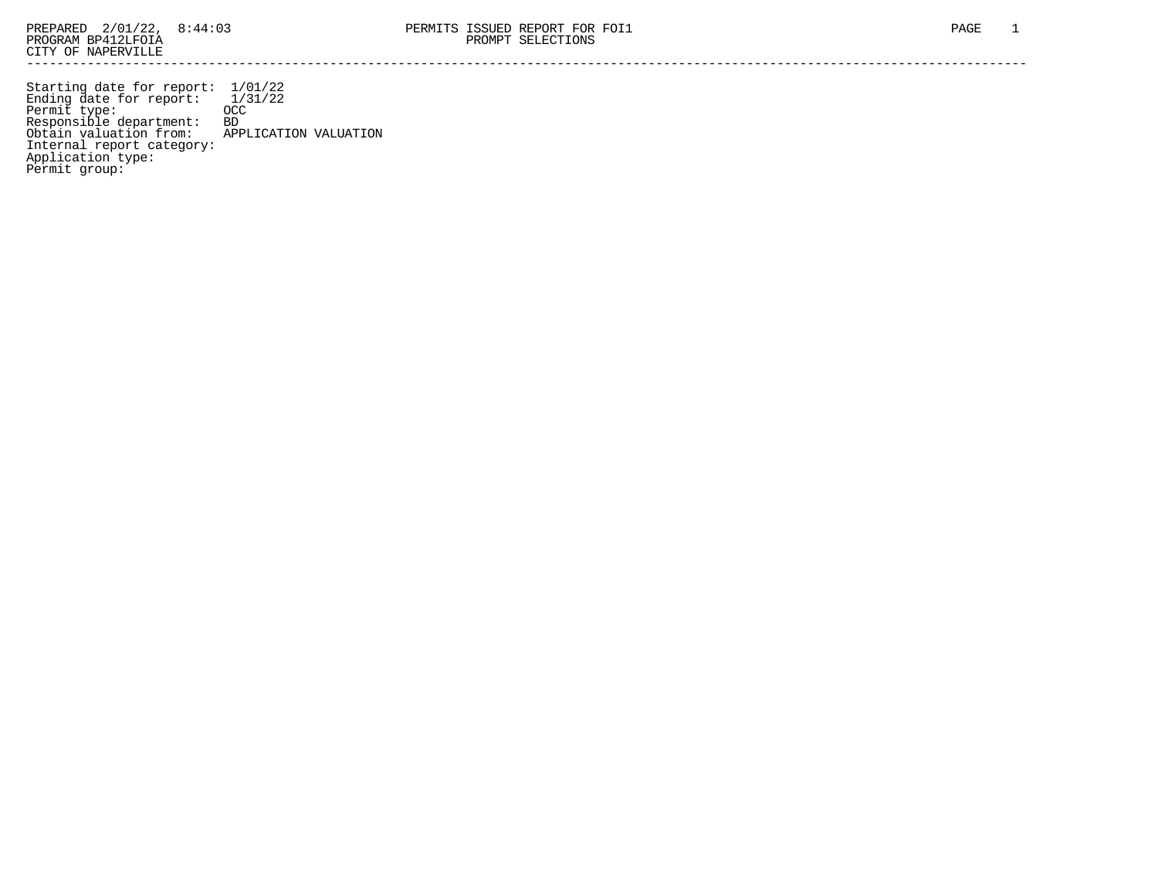Starting date for report: 1/01/22 Ending date for report: 1/31/22 Permit type: OCC Responsible department: BD Obtain valuation from: APPLICATION VALUATION Internal report category: Application type: Permit group: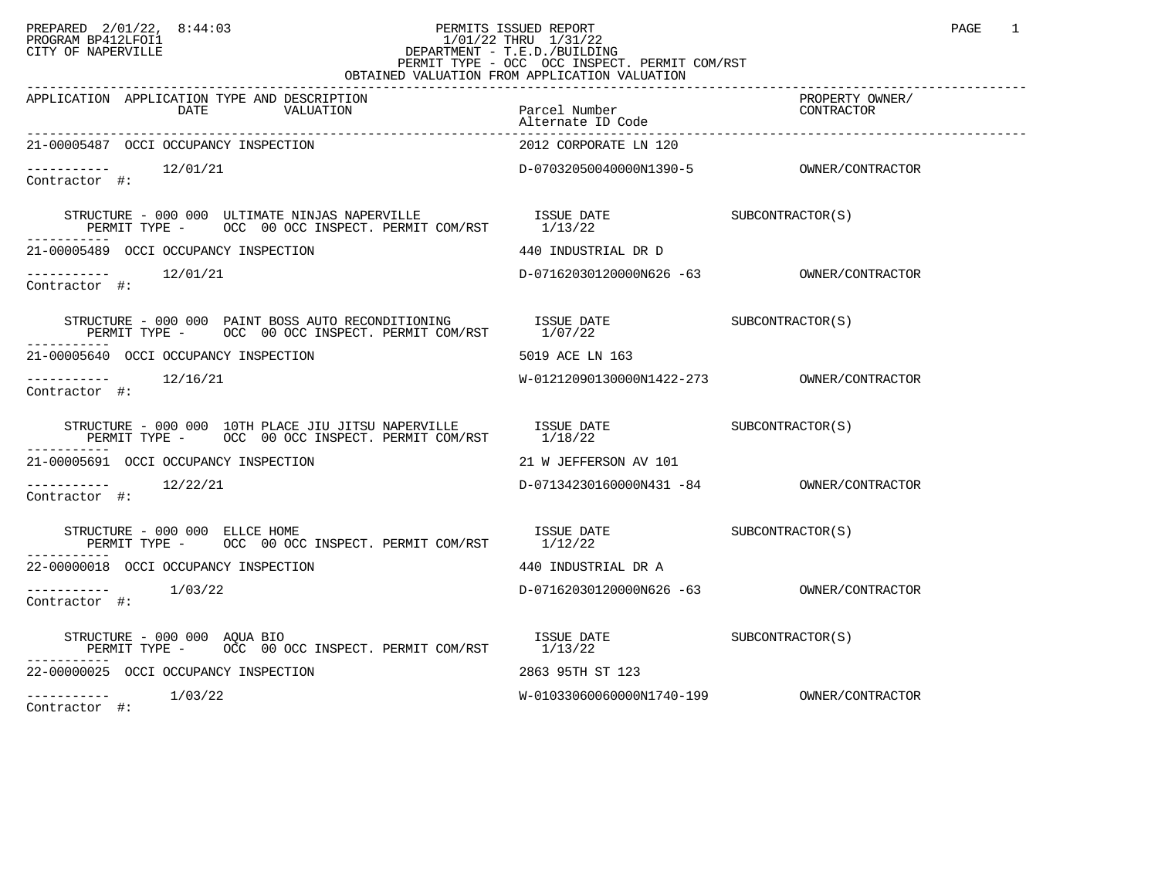## PREPARED 2/01/22, 8:44:03 PERMITS ISSUED REPORT PROGRAM BP412LFOI1 PAGE 1 PROGRAM BP412LFOI1 1/01/22 THRU 1/31/22 CITY OF NAPERVILLE **Example 20** CITY OF NAPERVILLE PERMIT TYPE - OCC OCC INSPECT. PERMIT COM/RST OBTAINED VALUATION FROM APPLICATION VALUATION

| APPLICATION APPLICATION TYPE AND DESCRIPTION<br>DATE<br>VALUATION                                                                                                                                                                                                                                                                                                                                                                                                  | Parcel Number<br>Alternate ID Code        | PROPERTY OWNER/<br>CONTRACTOR |
|--------------------------------------------------------------------------------------------------------------------------------------------------------------------------------------------------------------------------------------------------------------------------------------------------------------------------------------------------------------------------------------------------------------------------------------------------------------------|-------------------------------------------|-------------------------------|
| 21-00005487 OCCI OCCUPANCY INSPECTION                                                                                                                                                                                                                                                                                                                                                                                                                              | 2012 CORPORATE LN 120                     |                               |
| $--------$ 12/01/21<br>Contractor #:                                                                                                                                                                                                                                                                                                                                                                                                                               |                                           |                               |
| ------------                                                                                                                                                                                                                                                                                                                                                                                                                                                       |                                           |                               |
| 21-00005489 OCCI OCCUPANCY INSPECTION                                                                                                                                                                                                                                                                                                                                                                                                                              | 440 INDUSTRIAL DR D                       |                               |
| $--------$ 12/01/21<br>Contractor #:                                                                                                                                                                                                                                                                                                                                                                                                                               |                                           |                               |
| $\begin{tabular}{llllllll} \textbf{STRUCTURE} & \textbf{000 000 PAINT BOSS AUTO RECONDITIONING} & \textbf{ISSUE DATE} & \textbf{SUE COMTRACTOR(S)} \\ \textbf{PERMIT TYPE} & \textbf{OCC 00 OCC INSPECT. PERMIT COM/RST} & \textbf{1/07/22} & \\ \end{tabular}$                                                                                                                                                                                                    |                                           |                               |
| 21-00005640 OCCI OCCUPANCY INSPECTION                                                                                                                                                                                                                                                                                                                                                                                                                              | 5019 ACE LN 163                           |                               |
| -----------    12/16/21<br>Contractor #:                                                                                                                                                                                                                                                                                                                                                                                                                           |                                           |                               |
| $\begin{tabular}{lllllll} \texttt{STRUCTURE} & 000 & 000 & 10TH \texttt{PLACE} & \texttt{IUTSU} \texttt{ NAPERVILLE} & \texttt{ISSUE} \texttt{DATE} & \texttt{SUBCONTRACTOR(S)} \\ \texttt{PERMIT TYPE} & - & \texttt{OCC} & 00 \texttt{OCC} \texttt{INSPECT}. \texttt{PERMIT} \texttt{COM/RST} & 1/18/22 & \end{tabular}$                                                                                                                                         |                                           |                               |
| 21-00005691 OCCI OCCUPANCY INSPECTION                                                                                                                                                                                                                                                                                                                                                                                                                              | 21 W JEFFERSON AV 101                     |                               |
| $--------$ 12/22/21<br>Contractor #:                                                                                                                                                                                                                                                                                                                                                                                                                               | D-07134230160000N431 -84 0WNER/CONTRACTOR |                               |
| $\begin{array}{cccc} \texttt{STRUCTURE} & - & 000 & 000 & \texttt{ELICE} \texttt{ HOME} \\ \texttt{PERMIT} & \texttt{OCC} & 00 \texttt{ OCC} \texttt{INSERT} . & \texttt{PERMIT} \texttt{COM/RST} & 1/12/22 & \end{array} \qquad \begin{array}{cccc} \texttt{ISSUE} & \texttt{DATE} \\ 1/12/22 & \end{array} \qquad \begin{array}{cccc} \texttt{SUBCONTRACTOR(S)} \\ \texttt{SUSCONTRACTOR} & \texttt{SUSCONTRACTOR} \texttt{SUSCONTRACTOR} & \texttt{SUSCONTRACT$ |                                           |                               |
| 22-00000018 OCCI OCCUPANCY INSPECTION                                                                                                                                                                                                                                                                                                                                                                                                                              | 440 INDUSTRIAL DR A                       |                               |
| $--------$ 1/03/22<br>Contractor #:                                                                                                                                                                                                                                                                                                                                                                                                                                |                                           |                               |
| STRUCTURE - 000 000 AQUA BIO<br>PERMIT TYPE - OCC 00 OCC INSPECT. PERMIT COM/RST 1/13/22                                                                                                                                                                                                                                                                                                                                                                           | ISSUE DATE SUBCONTRACTOR(S)               |                               |
| 22-00000025 OCCI OCCUPANCY INSPECTION                                                                                                                                                                                                                                                                                                                                                                                                                              | 2863 95TH ST 123                          |                               |
| 1/03/22<br>------------                                                                                                                                                                                                                                                                                                                                                                                                                                            |                                           |                               |

Contractor #: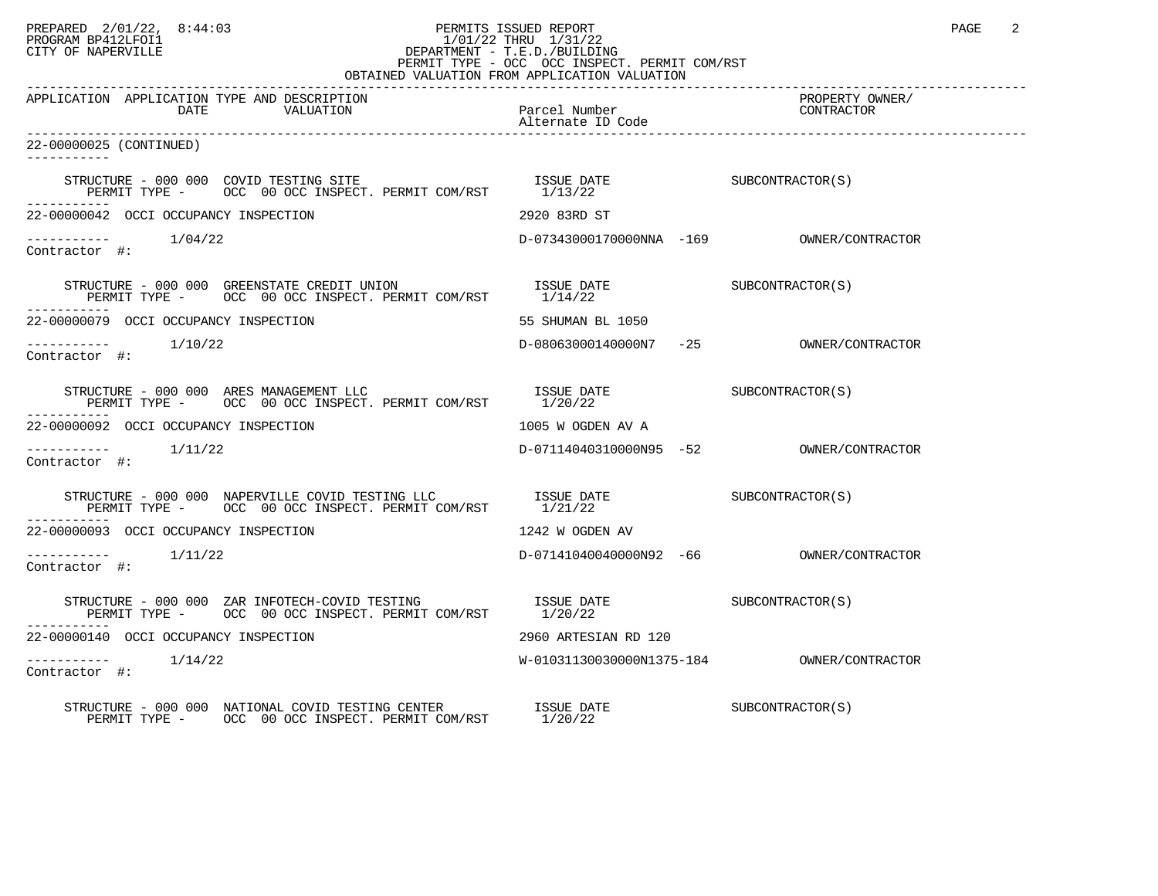## PREPARED 2/01/22, 8:44:03 PERMITS ISSUED REPORT PROGRAM BP412LFOI1 PAGE 2 PROGRAM BP412LFOI1 1/01/22 THRU 1/31/22 CITY OF NAPERVILLE **Example 20** CITY OF NAPERVILLE PERMIT TYPE - OCC OCC INSPECT. PERMIT COM/RST

| OBTAINED VALUATION FROM APPLICATION VALUATION                                                                                                                                                                                                                                                                                         |                                    |                               |  |  |
|---------------------------------------------------------------------------------------------------------------------------------------------------------------------------------------------------------------------------------------------------------------------------------------------------------------------------------------|------------------------------------|-------------------------------|--|--|
| APPLICATION APPLICATION TYPE AND DESCRIPTION<br>DATE<br>VALUATION                                                                                                                                                                                                                                                                     | Parcel Number<br>Alternate ID Code | PROPERTY OWNER/<br>CONTRACTOR |  |  |
| 22-00000025 (CONTINUED)<br>-----------                                                                                                                                                                                                                                                                                                |                                    |                               |  |  |
| $\begin{tabular}{lllllll} \bf STRUCTURE & - & 000 & 000 & COVID & TESTING & STFE & & & & \bf ISSUE & DATE & & & \tt{SUE} & & & \tt{SUBCONTRACTOR(S)} \\ \bf PERMIT & TYPE & - & OCC & 00 & OCC & INSPECT. & PERMIT & COM/RST & & & 1/13/22 & & & & & \end{tabular}$                                                                   |                                    |                               |  |  |
| 22-00000042 OCCI OCCUPANCY INSPECTION                                                                                                                                                                                                                                                                                                 | 2920 83RD ST                       |                               |  |  |
| $\begin{tabular}{ll} --------& & 1/04/22 \\ \textbf{Contractor} & \# \end{tabular}.$                                                                                                                                                                                                                                                  |                                    |                               |  |  |
|                                                                                                                                                                                                                                                                                                                                       |                                    |                               |  |  |
| 22-00000079 OCCI OCCUPANCY INSPECTION                                                                                                                                                                                                                                                                                                 | 55 SHUMAN BL 1050                  |                               |  |  |
| $\begin{tabular}{ll} --------& & 1/10/22 \\ \textbf{Contractor} & \#: & \end{tabular}$                                                                                                                                                                                                                                                |                                    |                               |  |  |
|                                                                                                                                                                                                                                                                                                                                       |                                    |                               |  |  |
| 22-00000092 OCCI OCCUPANCY INSPECTION                                                                                                                                                                                                                                                                                                 | 1005 W OGDEN AV A                  |                               |  |  |
| $1/11/22$<br>Contractor #:                                                                                                                                                                                                                                                                                                            |                                    |                               |  |  |
|                                                                                                                                                                                                                                                                                                                                       |                                    |                               |  |  |
| 22-00000093 OCCI OCCUPANCY INSPECTION                                                                                                                                                                                                                                                                                                 | 1242 W OGDEN AV                    |                               |  |  |
| $1/11/22$<br>Contractor #:                                                                                                                                                                                                                                                                                                            |                                    |                               |  |  |
| $\begin{array}{ccc} \texttt{STRUCTURE} & - & 000 & 000 & \texttt{ZAR} & \texttt{INFOTECH-COVID} & \texttt{TESTING} & & & \\ \texttt{SSUBCONTRACTOR} & - & \texttt{OCC} & 00 & \texttt{OCC} & \texttt{INSPECTC} & \texttt{PERMIT} & \texttt{COM/RST} & & 1/20/22 & \\ \end{array}$<br>PERMIT TYPE - OCC 00 OCC INSPECT. PERMIT COM/RST |                                    |                               |  |  |
| 22-00000140 OCCI OCCUPANCY INSPECTION                                                                                                                                                                                                                                                                                                 | 2960 ARTESIAN RD 120               |                               |  |  |
| 1/14/22<br>Contractor #:                                                                                                                                                                                                                                                                                                              |                                    |                               |  |  |
| $\begin{tabular}{lllllllll} \texttt{STRUCTURE} & - & 000 & 000 & \texttt{NATIONAL} & \texttt{COVID} & \texttt{TESTING} & \texttt{CENTER} & & \texttt{ISSUE} & \texttt{DATE} \\ \texttt{PERMIT TYPE} & - & \texttt{OCC} & 00 & \texttt{OCC} & \texttt{INSPECT. PERMIT} & \texttt{COM/RST} & & 1/20/22 \\ \end{tabular}$                |                                    | SUBCONTRACTOR(S)              |  |  |